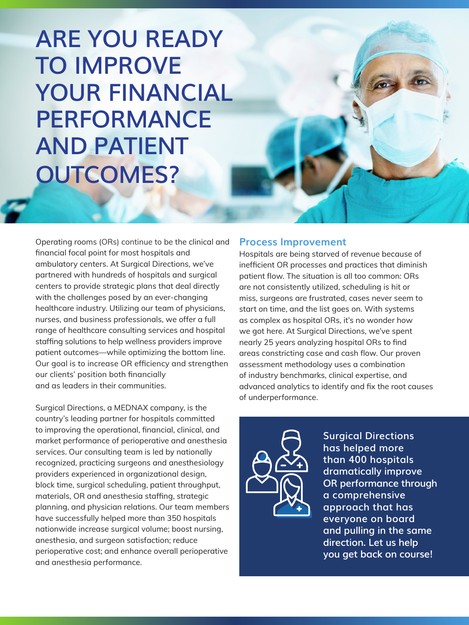**ARE YOU READY TO IMPROVE YOUR FINANCIAL PERFORMANCE AND PATIENT OUTCOMES?**

Operating rooms (ORs) continue to be the clinical and financial focal point for most hospitals and ambulatory centers. At Surgical Directions, we've partnered with hundreds of hospitals and surgical centers to provide strategic plans that deal directly with the challenges posed by an ever-changing healthcare industry. Utilizing our team of physicians, nurses, and business professionals, we offer a full range of healthcare consulting services and hospital staffing solutions to help wellness providers improve patient outcomes—while optimizing the bottom line. Our goal is to increase OR efficiency and strengthen our clients' position both financially and as leaders in their communities.

Surgical Directions, a MEDNAX company, is the country's leading partner for hospitals committed to improving the operational, financial, clinical, and market performance of perioperative and anesthesia services. Our consulting team is led by nationally recognized, practicing surgeons and anesthesiology providers experienced in organizational design, block time, surgical scheduling, patient throughput, materials, OR and anesthesia staffing, strategic planning, and physician relations. Our team members have successfully helped more than 350 hospitals nationwide increase surgical volume; boost nursing, anesthesia, and surgeon satisfaction; reduce perioperative cost; and enhance overall perioperative and anesthesia performance.

#### **Process Improvement**

Hospitals are being starved of revenue because of inefficient OR processes and practices that diminish patient flow. The situation is all too common: ORs are not consistently utilized, scheduling is hit or miss, surgeons are frustrated, cases never seem to start on time, and the list goes on. With systems as complex as hospital ORs, it's no wonder how we got here. At Surgical Directions, we've spent nearly 25 years analyzing hospital ORs to find areas constricting case and cash flow. Our proven assessment methodology uses a combination of industry benchmarks, clinical expertise, and advanced analytics to identify and fix the root causes of underperformance.



**Surgical Directions has helped more than 400 hospitals dramatically improve OR performance through a comprehensive approach that has everyone on board and pulling in the same direction. Let us help you get back on course!**